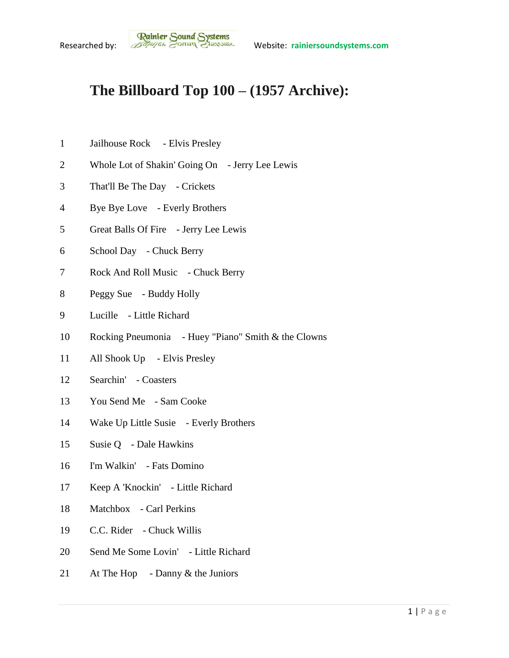## **The Billboard Top 100 – (1957 Archive):**

- Jailhouse Rock Elvis Presley
- Whole Lot of Shakin' Going On Jerry Lee Lewis
- That'll Be The Day Crickets
- Bye Bye Love Everly Brothers
- Great Balls Of Fire Jerry Lee Lewis
- School Day Chuck Berry
- 7 Rock And Roll Music Chuck Berry
- Peggy Sue Buddy Holly
- Lucille Little Richard
- Rocking Pneumonia Huey "Piano" Smith & the Clowns
- All Shook Up Elvis Presley
- Searchin' Coasters
- You Send Me Sam Cooke
- Wake Up Little Susie Everly Brothers
- Susie Q Dale Hawkins
- I'm Walkin' Fats Domino
- Keep A 'Knockin' Little Richard
- Matchbox Carl Perkins
- C.C. Rider Chuck Willis
- Send Me Some Lovin' Little Richard
- 21 At The Hop Danny & the Juniors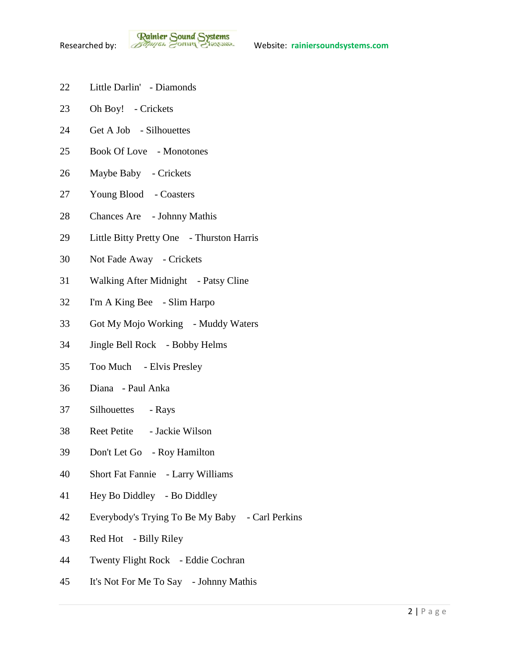- Little Darlin' Diamonds
- Oh Boy! Crickets
- Get A Job Silhouettes
- Book Of Love Monotones
- Maybe Baby Crickets
- Young Blood Coasters
- Chances Are Johnny Mathis
- Little Bitty Pretty One Thurston Harris
- Not Fade Away Crickets
- Walking After Midnight Patsy Cline
- I'm A King Bee Slim Harpo
- Got My Mojo Working Muddy Waters
- Jingle Bell Rock Bobby Helms
- Too Much Elvis Presley
- Diana Paul Anka
- Silhouettes Rays
- Reet Petite Jackie Wilson
- Don't Let Go Roy Hamilton
- Short Fat Fannie Larry Williams
- Hey Bo Diddley Bo Diddley
- Everybody's Trying To Be My Baby Carl Perkins
- Red Hot Billy Riley
- Twenty Flight Rock Eddie Cochran
- It's Not For Me To Say Johnny Mathis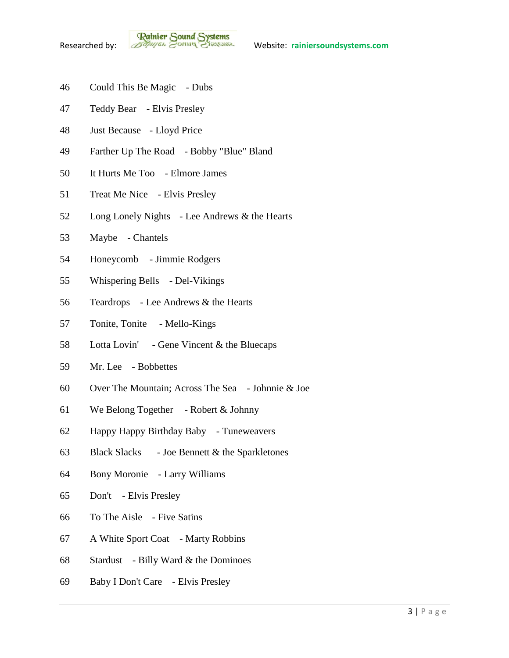**Rainier Sound Systems**<br>Researched by: *Bothuges* Conner Charantee Website: rainiersoundsystems.com

- Could This Be Magic Dubs
- Teddy Bear Elvis Presley
- Just Because Lloyd Price
- Farther Up The Road Bobby "Blue" Bland
- It Hurts Me Too Elmore James
- Treat Me Nice Elvis Presley
- Long Lonely Nights Lee Andrews & the Hearts
- Maybe Chantels
- Honeycomb Jimmie Rodgers
- Whispering Bells Del-Vikings
- Teardrops Lee Andrews & the Hearts
- Tonite, Tonite Mello-Kings
- Lotta Lovin' Gene Vincent & the Bluecaps
- Mr. Lee Bobbettes
- Over The Mountain; Across The Sea Johnnie & Joe
- We Belong Together Robert & Johnny
- Happy Happy Birthday Baby Tuneweavers
- 63 Black Slacks Joe Bennett  $&$  the Sparkletones
- Bony Moronie Larry Williams
- Don't Elvis Presley
- To The Aisle Five Satins
- A White Sport Coat Marty Robbins
- Stardust Billy Ward & the Dominoes
- Baby I Don't Care Elvis Presley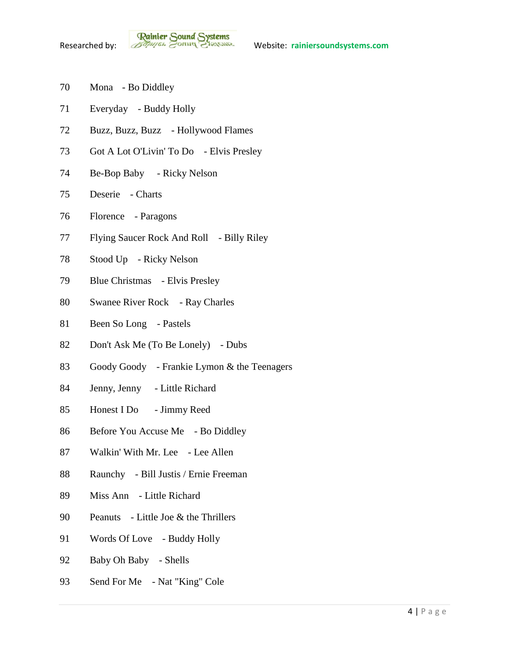- Mona Bo Diddley
- Everyday Buddy Holly
- Buzz, Buzz, Buzz Hollywood Flames
- Got A Lot O'Livin' To Do Elvis Presley
- Be-Bop Baby Ricky Nelson
- Deserie Charts
- Florence Paragons
- Flying Saucer Rock And Roll Billy Riley
- Stood Up Ricky Nelson
- Blue Christmas Elvis Presley
- Swanee River Rock Ray Charles
- Been So Long Pastels
- Don't Ask Me (To Be Lonely) Dubs
- Goody Goody Frankie Lymon & the Teenagers
- Jenny, Jenny Little Richard
- Honest I Do Jimmy Reed
- Before You Accuse Me Bo Diddley
- Walkin' With Mr. Lee Lee Allen
- Raunchy Bill Justis / Ernie Freeman
- Miss Ann Little Richard
- Peanuts Little Joe & the Thrillers
- Words Of Love Buddy Holly
- 92 Baby Oh Baby Shells
- Send For Me Nat "King" Cole